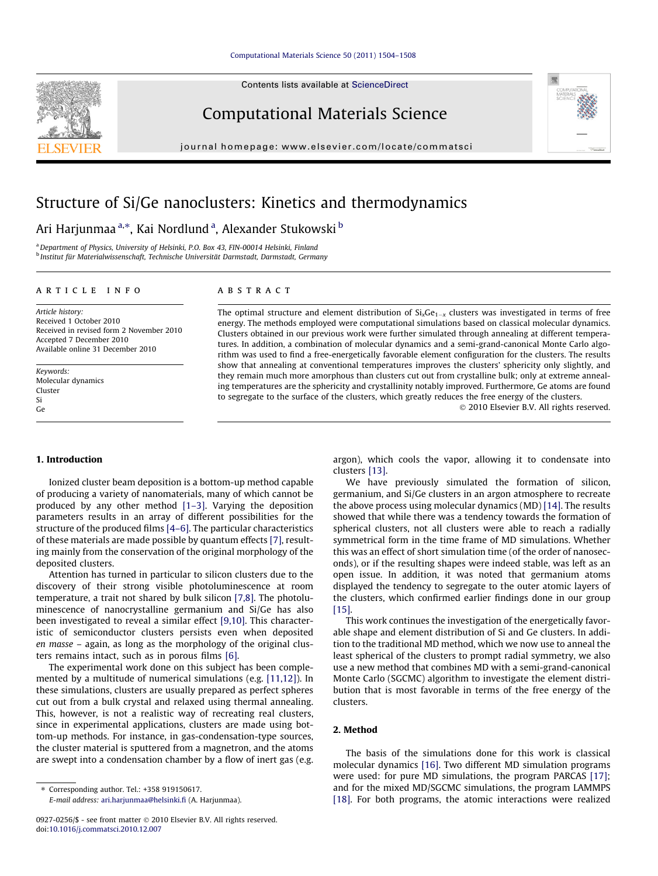Contents lists available at [ScienceDirect](http://www.sciencedirect.com/science/journal/09270256)

# Computational Materials Science

journal homepage: [www.elsevier.com/locate/commatsci](http://www.elsevier.com/locate/commatsci)

# Structure of Si/Ge nanoclusters: Kinetics and thermodynamics

## Ari Harjunmaa <sup>a,</sup>\*, Kai Nordlund <sup>a</sup>, Alexander Stukowski <sup>b</sup>

<sup>a</sup> Department of Physics, University of Helsinki, P.O. Box 43, FIN-00014 Helsinki, Finland <sup>b</sup> Institut für Materialwissenschaft, Technische Universität Darmstadt, Darmstadt, Germany

## article info

## **ARSTRACT**

Article history: Received 1 October 2010 Received in revised form 2 November 2010 Accepted 7 December 2010 Available online 31 December 2010

Keywords: Molecular dynamics Cluster Si Ge

## 1. Introduction

Ionized cluster beam deposition is a bottom-up method capable of producing a variety of nanomaterials, many of which cannot be produced by any other method [\[1–3\].](#page-4-0) Varying the deposition parameters results in an array of different possibilities for the structure of the produced films [\[4–6\].](#page-4-0) The particular characteristics of these materials are made possible by quantum effects [\[7\]](#page-4-0), resulting mainly from the conservation of the original morphology of the deposited clusters.

Attention has turned in particular to silicon clusters due to the discovery of their strong visible photoluminescence at room temperature, a trait not shared by bulk silicon [\[7,8\].](#page-4-0) The photoluminescence of nanocrystalline germanium and Si/Ge has also been investigated to reveal a similar effect [\[9,10\].](#page-4-0) This characteristic of semiconductor clusters persists even when deposited en masse – again, as long as the morphology of the original clusters remains intact, such as in porous films [\[6\].](#page-4-0)

The experimental work done on this subject has been complemented by a multitude of numerical simulations (e.g. [\[11,12\]](#page-4-0)). In these simulations, clusters are usually prepared as perfect spheres cut out from a bulk crystal and relaxed using thermal annealing. This, however, is not a realistic way of recreating real clusters, since in experimental applications, clusters are made using bottom-up methods. For instance, in gas-condensation-type sources, the cluster material is sputtered from a magnetron, and the atoms are swept into a condensation chamber by a flow of inert gas (e.g.

⇑ Corresponding author. Tel.: +358 919150617.

E-mail address: [ari.harjunmaa@helsinki.fi](mailto:ari.harjunmaa@helsinki.fi) (A. Harjunmaa).

The optimal structure and element distribution of  $\mathrm{Si_{x}Ge_{1-x}}$  clusters was investigated in terms of free energy. The methods employed were computational simulations based on classical molecular dynamics. Clusters obtained in our previous work were further simulated through annealing at different temperatures. In addition, a combination of molecular dynamics and a semi-grand-canonical Monte Carlo algorithm was used to find a free-energetically favorable element configuration for the clusters. The results show that annealing at conventional temperatures improves the clusters' sphericity only slightly, and they remain much more amorphous than clusters cut out from crystalline bulk; only at extreme annealing temperatures are the sphericity and crystallinity notably improved. Furthermore, Ge atoms are found to segregate to the surface of the clusters, which greatly reduces the free energy of the clusters.

- 2010 Elsevier B.V. All rights reserved.

argon), which cools the vapor, allowing it to condensate into clusters [\[13\]](#page-4-0).

We have previously simulated the formation of silicon, germanium, and Si/Ge clusters in an argon atmosphere to recreate the above process using molecular dynamics (MD) [\[14\].](#page-4-0) The results showed that while there was a tendency towards the formation of spherical clusters, not all clusters were able to reach a radially symmetrical form in the time frame of MD simulations. Whether this was an effect of short simulation time (of the order of nanoseconds), or if the resulting shapes were indeed stable, was left as an open issue. In addition, it was noted that germanium atoms displayed the tendency to segregate to the outer atomic layers of the clusters, which confirmed earlier findings done in our group [\[15\]](#page-4-0).

This work continues the investigation of the energetically favorable shape and element distribution of Si and Ge clusters. In addition to the traditional MD method, which we now use to anneal the least spherical of the clusters to prompt radial symmetry, we also use a new method that combines MD with a semi-grand-canonical Monte Carlo (SGCMC) algorithm to investigate the element distribution that is most favorable in terms of the free energy of the clusters.

## 2. Method

The basis of the simulations done for this work is classical molecular dynamics [\[16\]](#page-4-0). Two different MD simulation programs were used: for pure MD simulations, the program PARCAS [\[17\];](#page-4-0) and for the mixed MD/SGCMC simulations, the program LAMMPS [\[18\]](#page-4-0). For both programs, the atomic interactions were realized



<sup>0927-0256/\$ -</sup> see front matter © 2010 Elsevier B.V. All rights reserved. doi:[10.1016/j.commatsci.2010.12.007](http://dx.doi.org/10.1016/j.commatsci.2010.12.007)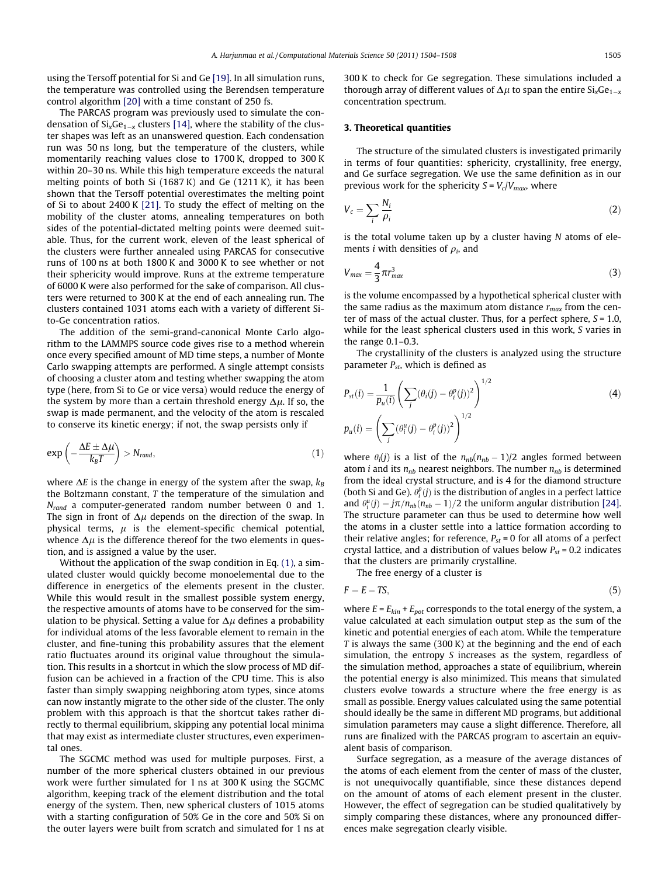using the Tersoff potential for Si and Ge [\[19\].](#page-4-0) In all simulation runs, the temperature was controlled using the Berendsen temperature control algorithm [\[20\]](#page-4-0) with a time constant of 250 fs.

The PARCAS program was previously used to simulate the condensation of Si $_{\rm x}$ Ge $_{\rm 1-x}$  clusters [\[14\]](#page-4-0), where the stability of the cluster shapes was left as an unanswered question. Each condensation run was 50 ns long, but the temperature of the clusters, while momentarily reaching values close to 1700 K, dropped to 300 K within 20–30 ns. While this high temperature exceeds the natural melting points of both Si (1687 K) and Ge (1211 K), it has been shown that the Tersoff potential overestimates the melting point of Si to about 2400 K [\[21\].](#page-4-0) To study the effect of melting on the mobility of the cluster atoms, annealing temperatures on both sides of the potential-dictated melting points were deemed suitable. Thus, for the current work, eleven of the least spherical of the clusters were further annealed using PARCAS for consecutive runs of 100 ns at both 1800 K and 3000 K to see whether or not their sphericity would improve. Runs at the extreme temperature of 6000 K were also performed for the sake of comparison. All clusters were returned to 300 K at the end of each annealing run. The clusters contained 1031 atoms each with a variety of different Sito-Ge concentration ratios.

The addition of the semi-grand-canonical Monte Carlo algorithm to the LAMMPS source code gives rise to a method wherein once every specified amount of MD time steps, a number of Monte Carlo swapping attempts are performed. A single attempt consists of choosing a cluster atom and testing whether swapping the atom type (here, from Si to Ge or vice versa) would reduce the energy of the system by more than a certain threshold energy  $\Delta \mu$ . If so, the swap is made permanent, and the velocity of the atom is rescaled to conserve its kinetic energy; if not, the swap persists only if

$$
\exp\left(-\frac{\Delta E \pm \Delta \mu}{k_B T}\right) > N_{rand},\tag{1}
$$

where  $\Delta E$  is the change in energy of the system after the swap,  $k_B$ the Boltzmann constant, T the temperature of the simulation and  $N_{rand}$  a computer-generated random number between 0 and 1. The sign in front of  $\Delta \mu$  depends on the direction of the swap. In physical terms,  $\mu$  is the element-specific chemical potential, whence  $\Delta \mu$  is the difference thereof for the two elements in question, and is assigned a value by the user.

Without the application of the swap condition in Eq. (1), a simulated cluster would quickly become monoelemental due to the difference in energetics of the elements present in the cluster. While this would result in the smallest possible system energy, the respective amounts of atoms have to be conserved for the simulation to be physical. Setting a value for  $\Delta \mu$  defines a probability for individual atoms of the less favorable element to remain in the cluster, and fine-tuning this probability assures that the element ratio fluctuates around its original value throughout the simulation. This results in a shortcut in which the slow process of MD diffusion can be achieved in a fraction of the CPU time. This is also faster than simply swapping neighboring atom types, since atoms can now instantly migrate to the other side of the cluster. The only problem with this approach is that the shortcut takes rather directly to thermal equilibrium, skipping any potential local minima that may exist as intermediate cluster structures, even experimental ones.

The SGCMC method was used for multiple purposes. First, a number of the more spherical clusters obtained in our previous work were further simulated for 1 ns at 300 K using the SGCMC algorithm, keeping track of the element distribution and the total energy of the system. Then, new spherical clusters of 1015 atoms with a starting configuration of 50% Ge in the core and 50% Si on the outer layers were built from scratch and simulated for 1 ns at 300 K to check for Ge segregation. These simulations included a thorough array of different values of  $\Delta \mu$  to span the entire Si<sub>x</sub>Ge<sub>1-x</sub> concentration spectrum.

## 3. Theoretical quantities

The structure of the simulated clusters is investigated primarily in terms of four quantities: sphericity, crystallinity, free energy, and Ge surface segregation. We use the same definition as in our previous work for the sphericity  $S = V_c/V_{max}$ , where

$$
V_c = \sum_i \frac{N_i}{\rho_i} \tag{2}
$$

is the total volume taken up by a cluster having  $N$  atoms of elements *i* with densities of  $\rho_i$ , and

$$
V_{max} = \frac{4}{3} \pi r_{max}^3 \tag{3}
$$

is the volume encompassed by a hypothetical spherical cluster with the same radius as the maximum atom distance  $r_{max}$  from the center of mass of the actual cluster. Thus, for a perfect sphere,  $S = 1.0$ , while for the least spherical clusters used in this work, S varies in the range 0.1–0.3.

The crystallinity of the clusters is analyzed using the structure parameter  $P_{st}$ , which is defined as

$$
P_{st}(i) = \frac{1}{p_u(i)} \left( \sum_j (\theta_i(j) - \theta_i^p(j))^2 \right)^{1/2}
$$
  
\n
$$
p_u(i) = \left( \sum_j (\theta_i^u(j) - \theta_i^p(j))^2 \right)^{1/2}
$$
\n(4)

where  $\theta_i(j)$  is a list of the  $n_{nb}(n_{nb}-1)/2$  angles formed between atom *i* and its  $n_{nb}$  nearest neighbors. The number  $n_{nb}$  is determined from the ideal crystal structure, and is 4 for the diamond structure (both Si and Ge).  $\theta_i^p(j)$  is the distribution of angles in a perfect lattice and  $\theta_i^u(j) = j\pi/n_{nb}(n_{nb} - 1)/2$  the uniform angular distribution [\[24\].](#page-4-0) The structure parameter can thus be used to determine how well the atoms in a cluster settle into a lattice formation according to their relative angles; for reference,  $P_{st}$  = 0 for all atoms of a perfect crystal lattice, and a distribution of values below  $P_{st}$  = 0.2 indicates that the clusters are primarily crystalline.

The free energy of a cluster is

$$
F = E - TS,\tag{5}
$$

where  $E = E_{kin} + E_{pot}$  corresponds to the total energy of the system, a value calculated at each simulation output step as the sum of the kinetic and potential energies of each atom. While the temperature  $T$  is always the same (300 K) at the beginning and the end of each simulation, the entropy S increases as the system, regardless of the simulation method, approaches a state of equilibrium, wherein the potential energy is also minimized. This means that simulated clusters evolve towards a structure where the free energy is as small as possible. Energy values calculated using the same potential should ideally be the same in different MD programs, but additional simulation parameters may cause a slight difference. Therefore, all runs are finalized with the PARCAS program to ascertain an equivalent basis of comparison.

Surface segregation, as a measure of the average distances of the atoms of each element from the center of mass of the cluster, is not unequivocally quantifiable, since these distances depend on the amount of atoms of each element present in the cluster. However, the effect of segregation can be studied qualitatively by simply comparing these distances, where any pronounced differences make segregation clearly visible.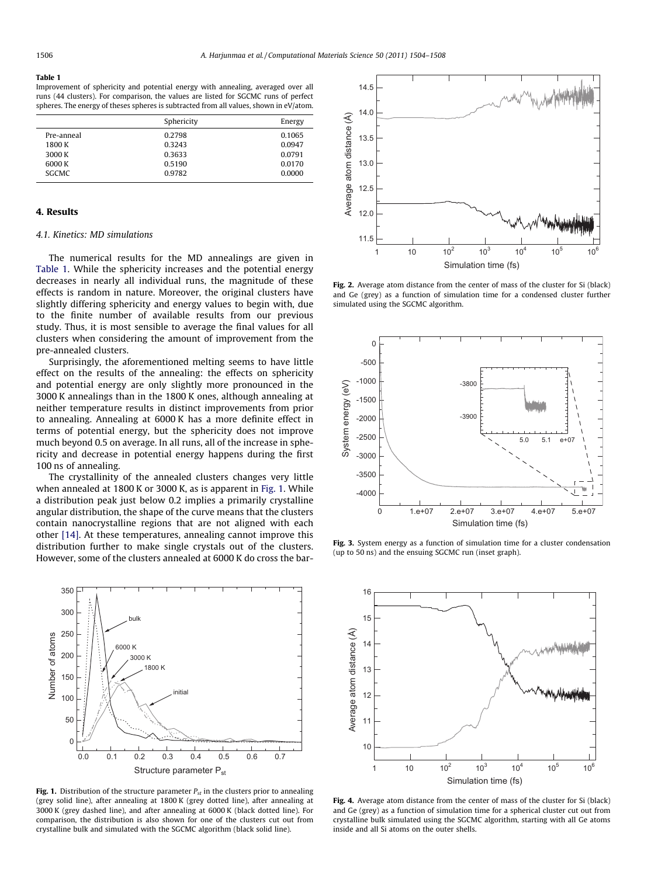#### <span id="page-2-0"></span>Table 1

Improvement of sphericity and potential energy with annealing, averaged over all runs (44 clusters). For comparison, the values are listed for SGCMC runs of perfect spheres. The energy of theses spheres is subtracted from all values, shown in eV/atom.

| Sphericity | Energy |
|------------|--------|
| 0.2798     | 0.1065 |
| 0.3243     | 0.0947 |
| 0.3633     | 0.0791 |
| 0.5190     | 0.0170 |
| 0.9782     | 0.0000 |
|            |        |

## 4. Results

### 4.1. Kinetics: MD simulations

The numerical results for the MD annealings are given in Table 1. While the sphericity increases and the potential energy decreases in nearly all individual runs, the magnitude of these effects is random in nature. Moreover, the original clusters have slightly differing sphericity and energy values to begin with, due to the finite number of available results from our previous study. Thus, it is most sensible to average the final values for all clusters when considering the amount of improvement from the pre-annealed clusters.

Surprisingly, the aforementioned melting seems to have little effect on the results of the annealing: the effects on sphericity and potential energy are only slightly more pronounced in the 3000 K annealings than in the 1800 K ones, although annealing at neither temperature results in distinct improvements from prior to annealing. Annealing at 6000 K has a more definite effect in terms of potential energy, but the sphericity does not improve much beyond 0.5 on average. In all runs, all of the increase in sphericity and decrease in potential energy happens during the first 100 ns of annealing.

The crystallinity of the annealed clusters changes very little when annealed at 1800 K or 3000 K, as is apparent in Fig. 1. While a distribution peak just below 0.2 implies a primarily crystalline angular distribution, the shape of the curve means that the clusters contain nanocrystalline regions that are not aligned with each other [\[14\]](#page-4-0). At these temperatures, annealing cannot improve this distribution further to make single crystals out of the clusters. However, some of the clusters annealed at 6000 K do cross the bar-



Fig. 1. Distribution of the structure parameter  $P_{st}$  in the clusters prior to annealing (grey solid line), after annealing at 1800 K (grey dotted line), after annealing at 3000 K (grey dashed line), and after annealing at 6000 K (black dotted line). For comparison, the distribution is also shown for one of the clusters cut out from crystalline bulk and simulated with the SGCMC algorithm (black solid line).



Fig. 2. Average atom distance from the center of mass of the cluster for Si (black) and Ge (grey) as a function of simulation time for a condensed cluster further simulated using the SGCMC algorithm.



Fig. 3. System energy as a function of simulation time for a cluster condensation (up to 50 ns) and the ensuing SGCMC run (inset graph).



Fig. 4. Average atom distance from the center of mass of the cluster for Si (black) and Ge (grey) as a function of simulation time for a spherical cluster cut out from crystalline bulk simulated using the SGCMC algorithm, starting with all Ge atoms inside and all Si atoms on the outer shells.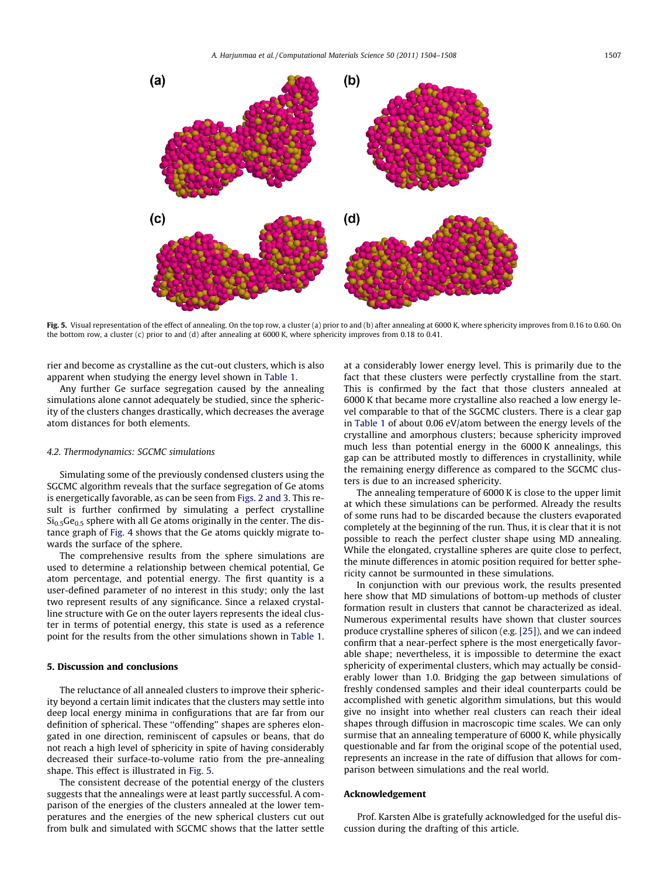

Fig. 5. Visual representation of the effect of annealing. On the top row, a cluster (a) prior to and (b) after annealing at 6000 K, where sphericity improves from 0.16 to 0.60. On the bottom row, a cluster (c) prior to and (d) after annealing at 6000 K, where sphericity improves from 0.18 to 0.41.

rier and become as crystalline as the cut-out clusters, which is also apparent when studying the energy level shown in [Table 1.](#page-2-0)

Any further Ge surface segregation caused by the annealing simulations alone cannot adequately be studied, since the sphericity of the clusters changes drastically, which decreases the average atom distances for both elements.

## 4.2. Thermodynamics: SGCMC simulations

Simulating some of the previously condensed clusters using the SGCMC algorithm reveals that the surface segregation of Ge atoms is energetically favorable, as can be seen from [Figs. 2 and 3](#page-2-0). This result is further confirmed by simulating a perfect crystalline  $Si<sub>0.5</sub>Ge<sub>0.5</sub>$  sphere with all Ge atoms originally in the center. The distance graph of [Fig. 4](#page-2-0) shows that the Ge atoms quickly migrate towards the surface of the sphere.

The comprehensive results from the sphere simulations are used to determine a relationship between chemical potential, Ge atom percentage, and potential energy. The first quantity is a user-defined parameter of no interest in this study; only the last two represent results of any significance. Since a relaxed crystalline structure with Ge on the outer layers represents the ideal cluster in terms of potential energy, this state is used as a reference point for the results from the other simulations shown in [Table 1.](#page-2-0)

## 5. Discussion and conclusions

The reluctance of all annealed clusters to improve their sphericity beyond a certain limit indicates that the clusters may settle into deep local energy minima in configurations that are far from our definition of spherical. These ''offending'' shapes are spheres elongated in one direction, reminiscent of capsules or beans, that do not reach a high level of sphericity in spite of having considerably decreased their surface-to-volume ratio from the pre-annealing shape. This effect is illustrated in Fig. 5.

The consistent decrease of the potential energy of the clusters suggests that the annealings were at least partly successful. A comparison of the energies of the clusters annealed at the lower temperatures and the energies of the new spherical clusters cut out from bulk and simulated with SGCMC shows that the latter settle

at a considerably lower energy level. This is primarily due to the fact that these clusters were perfectly crystalline from the start. This is confirmed by the fact that those clusters annealed at 6000 K that became more crystalline also reached a low energy level comparable to that of the SGCMC clusters. There is a clear gap in [Table 1](#page-2-0) of about 0.06 eV/atom between the energy levels of the crystalline and amorphous clusters; because sphericity improved much less than potential energy in the 6000 K annealings, this gap can be attributed mostly to differences in crystallinity, while the remaining energy difference as compared to the SGCMC clusters is due to an increased sphericity.

The annealing temperature of 6000 K is close to the upper limit at which these simulations can be performed. Already the results of some runs had to be discarded because the clusters evaporated completely at the beginning of the run. Thus, it is clear that it is not possible to reach the perfect cluster shape using MD annealing. While the elongated, crystalline spheres are quite close to perfect, the minute differences in atomic position required for better sphericity cannot be surmounted in these simulations.

In conjunction with our previous work, the results presented here show that MD simulations of bottom-up methods of cluster formation result in clusters that cannot be characterized as ideal. Numerous experimental results have shown that cluster sources produce crystalline spheres of silicon (e.g. [\[25\]\)](#page-4-0), and we can indeed confirm that a near-perfect sphere is the most energetically favorable shape; nevertheless, it is impossible to determine the exact sphericity of experimental clusters, which may actually be considerably lower than 1.0. Bridging the gap between simulations of freshly condensed samples and their ideal counterparts could be accomplished with genetic algorithm simulations, but this would give no insight into whether real clusters can reach their ideal shapes through diffusion in macroscopic time scales. We can only surmise that an annealing temperature of 6000 K, while physically questionable and far from the original scope of the potential used, represents an increase in the rate of diffusion that allows for comparison between simulations and the real world.

## Acknowledgement

Prof. Karsten Albe is gratefully acknowledged for the useful discussion during the drafting of this article.